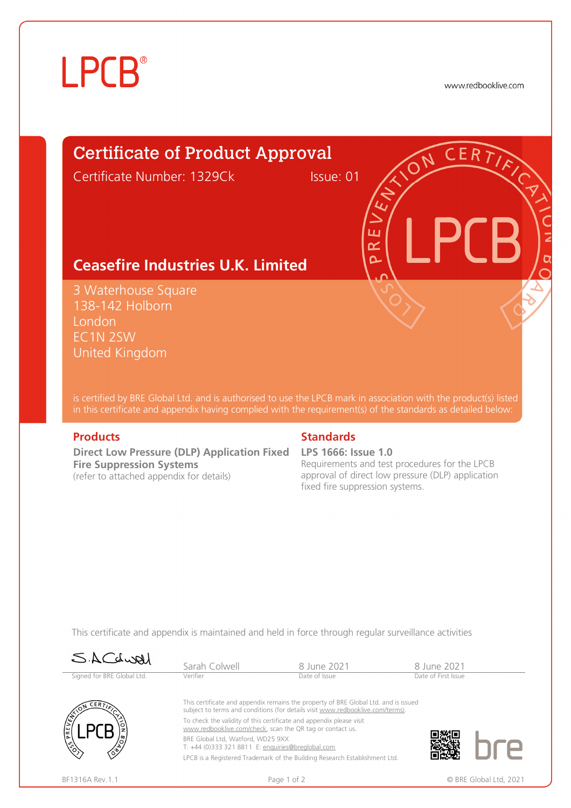# **LPCB**®

www.redbooklive.com

# Certificate of Product Approval

Certificate Number: 1329Ck Issue: 01

ய œ  $\overline{\mathbf{C}}$ 

## **Ceasefire Industries U.K. Limited**

3 Waterhouse Square 138-142 Holborn London EC1N 2SW United Kingdom

is certified by BRE Global Ltd. and is authorised to use the LPCB mark in association with the product(s) listed in this certificate and appendix having complied with the requirement(s) of the standards as detailed below:

**Direct Low Pressure (DLP) Application Fixed LPS 1666: Issue 1.0 Fire Suppression Systems**  (refer to attached appendix for details)

### **Products Standards**

Requirements and test procedures for the LPCB approval of direct low pressure (DLP) application fixed fire suppression systems.

This certificate and appendix is maintained and held in force through regular surveillance activities

| SACdwal                    | Sarah Colwell                                                                                                                                                         | 8 June 2021                                                                | 8 June 2021         |  |  |
|----------------------------|-----------------------------------------------------------------------------------------------------------------------------------------------------------------------|----------------------------------------------------------------------------|---------------------|--|--|
| Signed for BRE Global Ltd. | Verifier                                                                                                                                                              | Date of Issue                                                              | Date of First Issue |  |  |
| CERT<br>۱ř                 | This certificate and appendix remains the property of BRE Global Ltd. and is issued<br>subject to terms and conditions (for details visit www.redbooklive.com/terms). |                                                                            |                     |  |  |
|                            | To check the validity of this certificate and appendix please visit<br>www.redbooklive.com/check, scan the QR tag or contact us.                                      |                                                                            |                     |  |  |
|                            | BRE Global Ltd. Watford. WD25 9XX<br>T: +44 (0)333 321 8811 E: enquiries@breglobal.com                                                                                |                                                                            |                     |  |  |
|                            |                                                                                                                                                                       | LPCB is a Registered Trademark of the Building Research Establishment Ltd. |                     |  |  |
|                            |                                                                                                                                                                       |                                                                            |                     |  |  |